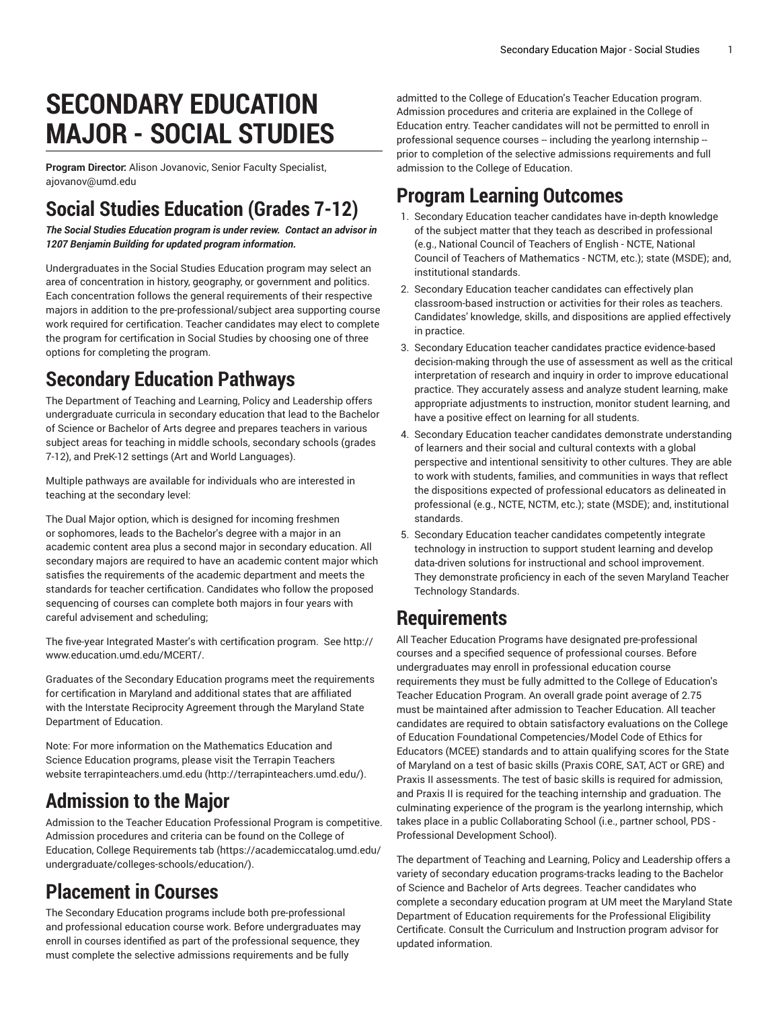# **SECONDARY EDUCATION MAJOR - SOCIAL STUDIES**

**Program Director:** Alison Jovanovic, Senior Faculty Specialist, [ajovanov@umd.edu](mailto:ajovanov@umd.edu)

## **Social Studies Education (Grades 7-12)**

*The Social Studies Education program is under review. Contact an advisor in 1207 Benjamin Building for updated program information.*

Undergraduates in the Social Studies Education program may select an area of concentration in history, geography, or government and politics. Each concentration follows the general requirements of their respective majors in addition to the pre-professional/subject area supporting course work required for certification. Teacher candidates may elect to complete the program for certification in Social Studies by choosing one of three options for completing the program.

### **Secondary Education Pathways**

The Department of Teaching and Learning, Policy and Leadership offers undergraduate curricula in secondary education that lead to the Bachelor of Science or Bachelor of Arts degree and prepares teachers in various subject areas for teaching in middle schools, secondary schools (grades 7-12), and PreK-12 settings (Art and World Languages).

Multiple pathways are available for individuals who are interested in teaching at the secondary level:

The Dual Major option, which is designed for incoming freshmen or sophomores, leads to the Bachelor's degree with a major in an academic content area plus a second major in secondary education. All secondary majors are required to have an academic content major which satisfies the requirements of the academic department and meets the standards for teacher certification. Candidates who follow the proposed sequencing of courses can complete both majors in four years with careful advisement and scheduling;

The five-year Integrated Master's with certification program. See [http://](http://www.education.umd.edu/MCERT/) [www.education.umd.edu/MCERT/](http://www.education.umd.edu/MCERT/).

Graduates of the Secondary Education programs meet the requirements for certification in Maryland and additional states that are affiliated with the Interstate Reciprocity Agreement through the Maryland State Department of Education.

Note: For more information on the Mathematics Education and Science Education programs, please visit the Terrapin Teachers website [terrapinteachers.umd.edu](http://terrapinteachers.umd.edu/) ([http://terrapinteachers.umd.edu/\)](http://terrapinteachers.umd.edu/).

### **Admission to the Major**

Admission to the Teacher Education Professional Program is competitive. Admission procedures and criteria can be found on the College of Education, College [Requirements](https://academiccatalog.umd.edu/undergraduate/colleges-schools/education/) tab ([https://academiccatalog.umd.edu/](https://academiccatalog.umd.edu/undergraduate/colleges-schools/education/) [undergraduate/colleges-schools/education/\)](https://academiccatalog.umd.edu/undergraduate/colleges-schools/education/).

#### **Placement in Courses**

The Secondary Education programs include both pre-professional and professional education course work. Before undergraduates may enroll in courses identified as part of the professional sequence, they must complete the selective admissions requirements and be fully

admitted to the College of Education's Teacher Education program. Admission procedures and criteria are explained in the College of Education entry. Teacher candidates will not be permitted to enroll in professional sequence courses -- including the yearlong internship -prior to completion of the selective admissions requirements and full admission to the College of Education.

## **Program Learning Outcomes**

- 1. Secondary Education teacher candidates have in-depth knowledge of the subject matter that they teach as described in professional (e.g., National Council of Teachers of English - NCTE, National Council of Teachers of Mathematics - NCTM, etc.); state (MSDE); and, institutional standards.
- 2. Secondary Education teacher candidates can effectively plan classroom-based instruction or activities for their roles as teachers. Candidates' knowledge, skills, and dispositions are applied effectively in practice.
- 3. Secondary Education teacher candidates practice evidence-based decision-making through the use of assessment as well as the critical interpretation of research and inquiry in order to improve educational practice. They accurately assess and analyze student learning, make appropriate adjustments to instruction, monitor student learning, and have a positive effect on learning for all students.
- 4. Secondary Education teacher candidates demonstrate understanding of learners and their social and cultural contexts with a global perspective and intentional sensitivity to other cultures. They are able to work with students, families, and communities in ways that reflect the dispositions expected of professional educators as delineated in professional (e.g., NCTE, NCTM, etc.); state (MSDE); and, institutional standards.
- 5. Secondary Education teacher candidates competently integrate technology in instruction to support student learning and develop data-driven solutions for instructional and school improvement. They demonstrate proficiency in each of the seven Maryland Teacher Technology Standards.

### **Requirements**

All Teacher Education Programs have designated pre-professional courses and a specified sequence of professional courses. Before undergraduates may enroll in professional education course requirements they must be fully admitted to the College of Education's Teacher Education Program. An overall grade point average of 2.75 must be maintained after admission to Teacher Education. All teacher candidates are required to obtain satisfactory evaluations on the College of Education Foundational Competencies/Model Code of Ethics for Educators (MCEE) standards and to attain qualifying scores for the State of Maryland on a test of basic skills (Praxis CORE, SAT, ACT or GRE) and Praxis II assessments. The test of basic skills is required for admission, and Praxis II is required for the teaching internship and graduation. The culminating experience of the program is the yearlong internship, which takes place in a public Collaborating School (i.e., partner school, PDS - Professional Development School).

The department of Teaching and Learning, Policy and Leadership offers a variety of secondary education programs-tracks leading to the Bachelor of Science and Bachelor of Arts degrees. Teacher candidates who complete a secondary education program at UM meet the Maryland State Department of Education requirements for the Professional Eligibility Certificate. Consult the Curriculum and Instruction program advisor for updated information.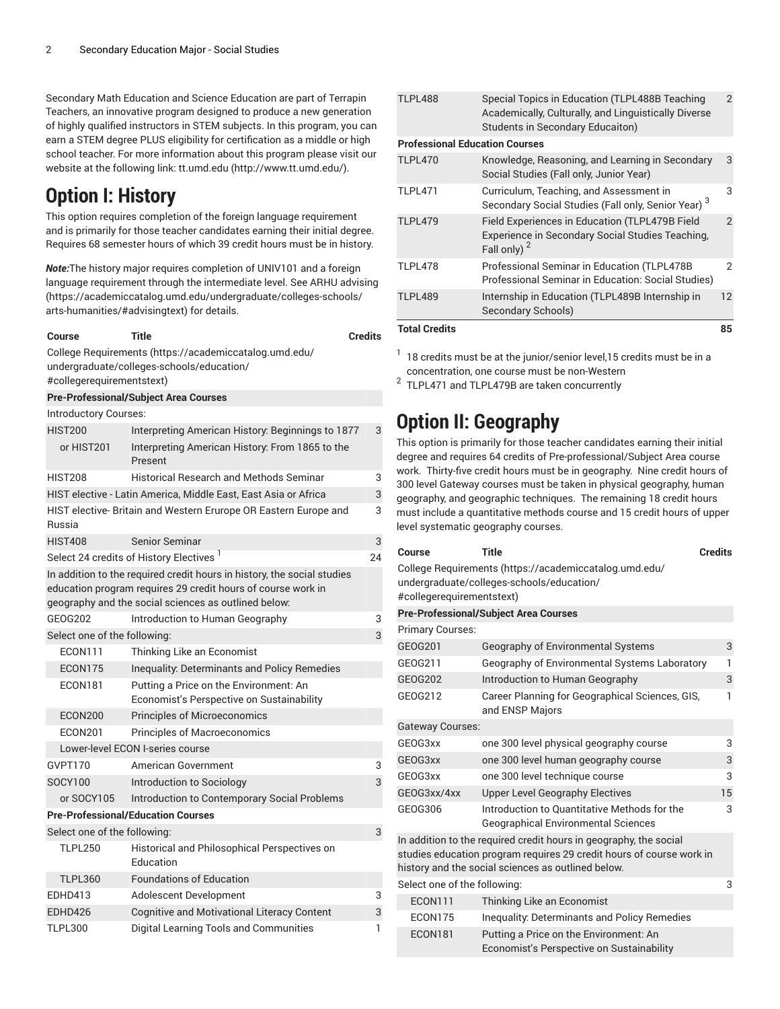Secondary Math Education and Science Education are part of Terrapin Teachers, an innovative program designed to produce a new generation of highly qualified instructors in STEM subjects. In this program, you can earn a STEM degree PLUS eligibility for certification as a middle or high school teacher. For more information about this program please visit our website at the following link: [tt.umd.edu](http://www.tt.umd.edu/) [\(http://www.tt.umd.edu/\)](http://www.tt.umd.edu/).

### **Option I: History**

This option requires completion of the foreign language requirement and is primarily for those teacher candidates earning their initial degree. Requires 68 semester hours of which 39 credit hours must be in history.

*Note:*The history major requires completion of UNIV101 and a foreign language requirement through the intermediate level. See [ARHU advising](https://academiccatalog.umd.edu/undergraduate/colleges-schools/arts-humanities/#advisingtext) ([https://academiccatalog.umd.edu/undergraduate/colleges-schools/](https://academiccatalog.umd.edu/undergraduate/colleges-schools/arts-humanities/#advisingtext) [arts-humanities/#advisingtext\)](https://academiccatalog.umd.edu/undergraduate/colleges-schools/arts-humanities/#advisingtext) for details.

#### **Course Title Credits**

College [Requirements \(https://academiccatalog.umd.edu/](https://academiccatalog.umd.edu/undergraduate/colleges-schools/education/#collegerequirementstext)

3

24

[undergraduate/colleges-schools/education/](https://academiccatalog.umd.edu/undergraduate/colleges-schools/education/#collegerequirementstext) [#collegerequirementstext](https://academiccatalog.umd.edu/undergraduate/colleges-schools/education/#collegerequirementstext))

| #collegerequirementstext)                                |                                                                                                                                                                                                 |    |
|----------------------------------------------------------|-------------------------------------------------------------------------------------------------------------------------------------------------------------------------------------------------|----|
|                                                          | <b>Pre-Professional/Subject Area Courses</b>                                                                                                                                                    |    |
| Introductory Courses:                                    |                                                                                                                                                                                                 |    |
| <b>HIST200</b><br>or HIST201                             | Interpreting American History: Beginnings to 1877<br>Interpreting American History: From 1865 to the<br>Present                                                                                 | 3  |
| <b>HIST208</b>                                           | <b>Historical Research and Methods Seminar</b>                                                                                                                                                  | 3  |
|                                                          | HIST elective - Latin America, Middle East, East Asia or Africa                                                                                                                                 | 3  |
| Russia                                                   | HIST elective- Britain and Western Erurope OR Eastern Europe and                                                                                                                                | 3  |
| <b>HIST408</b>                                           | <b>Senior Seminar</b>                                                                                                                                                                           | 3  |
|                                                          | Select 24 credits of History Electives <sup>1</sup>                                                                                                                                             | 24 |
|                                                          | In addition to the required credit hours in history, the social studies<br>education program requires 29 credit hours of course work in<br>geography and the social sciences as outlined below: |    |
| GE0G202                                                  | Introduction to Human Geography                                                                                                                                                                 | 3  |
| Select one of the following:                             |                                                                                                                                                                                                 | 3  |
| <b>ECON111</b>                                           | Thinking Like an Economist                                                                                                                                                                      |    |
| ECON175                                                  | <b>Inequality: Determinants and Policy Remedies</b>                                                                                                                                             |    |
| <b>ECON181</b>                                           | Putting a Price on the Environment: An<br>Economist's Perspective on Sustainability                                                                                                             |    |
| <b>ECON200</b>                                           | Principles of Microeconomics                                                                                                                                                                    |    |
| <b>ECON201</b>                                           | <b>Principles of Macroeconomics</b>                                                                                                                                                             |    |
|                                                          | Lower-level ECON I-series course                                                                                                                                                                |    |
| GVPT170                                                  | American Government                                                                                                                                                                             | 3  |
| SOCY100                                                  | Introduction to Sociology                                                                                                                                                                       | 3  |
| or SOCY105                                               | Introduction to Contemporary Social Problems                                                                                                                                                    |    |
|                                                          | <b>Pre-Professional/Education Courses</b>                                                                                                                                                       |    |
| Select one of the following:                             |                                                                                                                                                                                                 | 3  |
| <b>TLPL250</b>                                           | Historical and Philosophical Perspectives on<br>Education                                                                                                                                       |    |
| <b>TLPL360</b>                                           | <b>Foundations of Education</b>                                                                                                                                                                 |    |
| <b>EDHD413</b>                                           | Adolescent Development                                                                                                                                                                          | 3  |
| EDHD426                                                  | <b>Cognitive and Motivational Literacy Content</b>                                                                                                                                              | 3  |
| <b>TLPL300</b><br>Digital Learning Tools and Communities |                                                                                                                                                                                                 | 1  |

| <b>Total Credits</b>                  |                                                                                                                                                   | 85             |
|---------------------------------------|---------------------------------------------------------------------------------------------------------------------------------------------------|----------------|
| TLPL489                               | Internship in Education (TLPL489B Internship in<br>Secondary Schools)                                                                             | 12             |
| <b>TLPL478</b>                        | Professional Seminar in Education (TLPL478B<br>2<br>Professional Seminar in Education: Social Studies)                                            |                |
| <b>TLPL479</b>                        | Field Experiences in Education (TLPL479B Field<br>Experience in Secondary Social Studies Teaching,<br>Fall only) <sup>2</sup>                     | $\mathfrak{p}$ |
| <b>TLPL471</b>                        | Curriculum, Teaching, and Assessment in<br>Secondary Social Studies (Fall only, Senior Year) <sup>3</sup>                                         | 3              |
| <b>TLPL470</b>                        | Knowledge, Reasoning, and Learning in Secondary<br>Social Studies (Fall only, Junior Year)                                                        | 3              |
| <b>Professional Education Courses</b> |                                                                                                                                                   |                |
| <b>TLPL488</b>                        | Special Topics in Education (TLPL488B Teaching<br>Academically, Culturally, and Linguistically Diverse<br><b>Students in Secondary Educaiton)</b> |                |

 $^{\rm 1}$  18 credits must be at the junior/senior level,15 credits must be in a concentration, one course must be non-Western

 $2$  TLPL471 and TLPL479B are taken concurrently

#### **Option II: Geography**

This option is primarily for those teacher candidates earning their initial degree and requires 64 credits of Pre-professional/Subject Area course work. Thirty-five credit hours must be in geography. Nine credit hours of 300 level Gateway courses must be taken in physical geography, human geography, and geographic techniques. The remaining 18 credit hours must include a quantitative methods course and 15 credit hours of upper level systematic geography courses.

| Course                       | Title                                                                                                                                                                                           | <b>Credits</b> |
|------------------------------|-------------------------------------------------------------------------------------------------------------------------------------------------------------------------------------------------|----------------|
| #collegerequirementstext)    | College Requirements (https://academiccatalog.umd.edu/<br>undergraduate/colleges-schools/education/                                                                                             |                |
|                              | <b>Pre-Professional/Subject Area Courses</b>                                                                                                                                                    |                |
| <b>Primary Courses:</b>      |                                                                                                                                                                                                 |                |
| GE0G201                      | Geography of Environmental Systems                                                                                                                                                              | 3              |
| GE0G211                      | Geography of Environmental Systems Laboratory                                                                                                                                                   | 1              |
| <b>GEOG202</b>               | Introduction to Human Geography                                                                                                                                                                 | 3              |
| GE0G212                      | Career Planning for Geographical Sciences, GIS,<br>and ENSP Majors                                                                                                                              |                |
| <b>Gateway Courses:</b>      |                                                                                                                                                                                                 |                |
| GFOG3xx                      | one 300 level physical geography course                                                                                                                                                         | 3              |
| GEOG3xx                      | one 300 level human geography course                                                                                                                                                            | 3              |
| GEOG3xx                      | one 300 level technique course                                                                                                                                                                  | 3              |
| GEOG3xx/4xx                  | <b>Upper Level Geography Electives</b>                                                                                                                                                          | 15             |
| GE0G306                      | Introduction to Quantitative Methods for the<br><b>Geographical Environmental Sciences</b>                                                                                                      | 3              |
|                              | In addition to the required credit hours in geography, the social<br>studies education program requires 29 credit hours of course work in<br>history and the social sciences as outlined below. |                |
| Select one of the following: |                                                                                                                                                                                                 | 3              |
| <b>ECON111</b>               | Thinking Like an Economist                                                                                                                                                                      |                |
| <b>ECON175</b>               | Inequality: Determinants and Policy Remedies                                                                                                                                                    |                |
| <b>ECON181</b>               | Putting a Price on the Environment: An<br>Economist's Perspective on Sustainability                                                                                                             |                |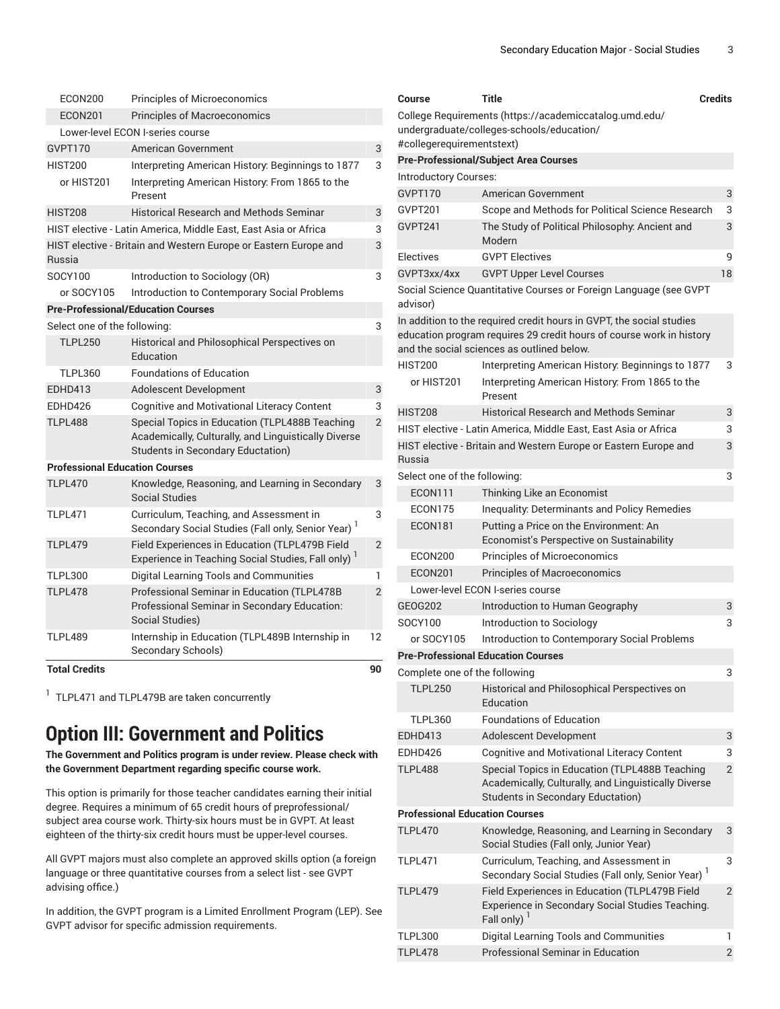| <b>Total Credits</b>                  |                                                                                                                                                    | 90 |  |
|---------------------------------------|----------------------------------------------------------------------------------------------------------------------------------------------------|----|--|
| <b>TLPL489</b>                        | Internship in Education (TLPL489B Internship in<br>Secondary Schools)                                                                              | 12 |  |
| <b>TLPL478</b>                        | Professional Seminar in Education (TLPL478B<br>$\mathfrak{p}$<br>Professional Seminar in Secondary Education:<br>Social Studies)                   |    |  |
| <b>TLPL300</b>                        | Digital Learning Tools and Communities                                                                                                             | 1  |  |
| <b>TLPL479</b>                        | Field Experiences in Education (TLPL479B Field<br>$\overline{2}$<br>Experience in Teaching Social Studies, Fall only) <sup>1</sup>                 |    |  |
| <b>TLPL471</b>                        | Curriculum, Teaching, and Assessment in<br>3<br>Secondary Social Studies (Fall only, Senior Year) <sup>1</sup>                                     |    |  |
| <b>TLPL470</b>                        | Knowledge, Reasoning, and Learning in Secondary<br><b>Social Studies</b>                                                                           | 3  |  |
| <b>Professional Education Courses</b> |                                                                                                                                                    |    |  |
| <b>TLPL488</b>                        | Special Topics in Education (TLPL488B Teaching<br>Academically, Culturally, and Linguistically Diverse<br><b>Students in Secondary Eductation)</b> |    |  |
| EDHD426                               | <b>Cognitive and Motivational Literacy Content</b>                                                                                                 |    |  |
| EDHD413                               | <b>Adolescent Development</b>                                                                                                                      | 3  |  |
| <b>TLPL360</b>                        | <b>Foundations of Education</b>                                                                                                                    |    |  |
| <b>TLPL250</b>                        | Historical and Philosophical Perspectives on<br>Education                                                                                          |    |  |
| Select one of the following:          |                                                                                                                                                    | 3  |  |
|                                       | <b>Pre-Professional/Education Courses</b>                                                                                                          |    |  |
| or SOCY105                            | Introduction to Contemporary Social Problems                                                                                                       |    |  |
| SOCY100                               | Introduction to Sociology (OR)                                                                                                                     | 3  |  |
| Russia                                | HIST elective - Britain and Western Europe or Eastern Europe and                                                                                   | 3  |  |
|                                       | HIST elective - Latin America, Middle East, East Asia or Africa                                                                                    |    |  |
| <b>HIST208</b>                        | <b>Historical Research and Methods Seminar</b>                                                                                                     | 3  |  |
| or HIST201                            | 3<br>Interpreting American History: From 1865 to the<br>Present                                                                                    |    |  |
| <b>HIST200</b>                        | Interpreting American History: Beginnings to 1877                                                                                                  |    |  |
| GVPT170                               | American Government                                                                                                                                |    |  |
|                                       | Lower-level ECON I-series course                                                                                                                   |    |  |
| <b>ECON200</b><br><b>ECON201</b>      | <b>Principles of Microeconomics</b><br><b>Principles of Macroeconomics</b>                                                                         |    |  |
|                                       |                                                                                                                                                    |    |  |

<sup>1</sup> TLPL471 and TLPL479B are taken concurrently

#### **Option III: Government and Politics**

**The Government and Politics program is under review. Please check with the Government Department regarding specific course work.**

This option is primarily for those teacher candidates earning their initial degree. Requires a minimum of 65 credit hours of preprofessional/ subject area course work. Thirty-six hours must be in GVPT. At least eighteen of the thirty-six credit hours must be upper-level courses.

All GVPT majors must also complete an approved skills option (a foreign language or three quantitative courses from a select list - see GVPT advising office.)

In addition, the GVPT program is a Limited Enrollment Program (LEP). See GVPT advisor for specific admission requirements.

| Course                                | Title                                                                                                                                                                                      | <b>Credits</b> |
|---------------------------------------|--------------------------------------------------------------------------------------------------------------------------------------------------------------------------------------------|----------------|
|                                       | College Requirements (https://academiccatalog.umd.edu/<br>undergraduate/colleges-schools/education/                                                                                        |                |
| #collegerequirementstext)             |                                                                                                                                                                                            |                |
| Introductory Courses:                 | Pre-Professional/Subject Area Courses                                                                                                                                                      |                |
| GVPT170                               | American Government                                                                                                                                                                        | 3              |
| GVPT201                               |                                                                                                                                                                                            | 3              |
| GVPT <sub>241</sub>                   | Scope and Methods for Political Science Research<br>3<br>The Study of Political Philosophy: Ancient and<br>Modern                                                                          |                |
| Electives                             | <b>GVPT Electives</b>                                                                                                                                                                      | 9              |
| GVPT3xx/4xx                           | <b>GVPT Upper Level Courses</b>                                                                                                                                                            | 18             |
| advisor)                              | Social Science Quantitative Courses or Foreign Language (see GVPT                                                                                                                          |                |
|                                       | In addition to the required credit hours in GVPT, the social studies<br>education program requires 29 credit hours of course work in history<br>and the social sciences as outlined below. |                |
| HIST200                               | Interpreting American History: Beginnings to 1877                                                                                                                                          | 3              |
| or HIST201                            | Interpreting American History: From 1865 to the<br>Present                                                                                                                                 |                |
| HIST208                               | <b>Historical Research and Methods Seminar</b>                                                                                                                                             | 3              |
|                                       | HIST elective - Latin America, Middle East, East Asia or Africa                                                                                                                            | 3              |
| Russia                                | HIST elective - Britain and Western Europe or Eastern Europe and                                                                                                                           | 3              |
| Select one of the following:          |                                                                                                                                                                                            | 3              |
| ECON111                               | Thinking Like an Economist                                                                                                                                                                 |                |
| ECON175                               | <b>Inequality: Determinants and Policy Remedies</b>                                                                                                                                        |                |
| ECON181                               | Putting a Price on the Environment: An<br>Economist's Perspective on Sustainability                                                                                                        |                |
| ECON200                               | <b>Principles of Microeconomics</b>                                                                                                                                                        |                |
| <b>ECON201</b>                        | <b>Principles of Macroeconomics</b>                                                                                                                                                        |                |
|                                       | Lower-level ECON I-series course                                                                                                                                                           |                |
| GEOG202                               | Introduction to Human Geography                                                                                                                                                            | 3              |
| SOCY100                               | Introduction to Sociology                                                                                                                                                                  | 3              |
| or SOCY105                            | Introduction to Contemporary Social Problems                                                                                                                                               |                |
|                                       | <b>Pre-Professional Education Courses</b>                                                                                                                                                  |                |
| Complete one of the following         |                                                                                                                                                                                            | 3              |
| <b>TLPL250</b>                        | Historical and Philosophical Perspectives on<br>Education                                                                                                                                  |                |
| <b>TLPL360</b>                        | <b>Foundations of Education</b>                                                                                                                                                            |                |
| EDHD413                               | Adolescent Development                                                                                                                                                                     | 3              |
| EDHD426                               | <b>Cognitive and Motivational Literacy Content</b>                                                                                                                                         | 3              |
| TLPL488                               | Special Topics in Education (TLPL488B Teaching<br>Academically, Culturally, and Linguistically Diverse<br><b>Students in Secondary Eductation)</b>                                         | $\overline{2}$ |
| <b>Professional Education Courses</b> |                                                                                                                                                                                            |                |
| <b>TLPL470</b>                        | Knowledge, Reasoning, and Learning in Secondary<br>Social Studies (Fall only, Junior Year)                                                                                                 | 3              |
| TLPL471                               | Curriculum, Teaching, and Assessment in<br>Secondary Social Studies (Fall only, Senior Year) <sup>1</sup>                                                                                  | 3              |
| <b>TLPL479</b>                        | Field Experiences in Education (TLPL479B Field<br>Experience in Secondary Social Studies Teaching.<br>Fall only)                                                                           | 2              |
| TLPL300                               | Digital Learning Tools and Communities                                                                                                                                                     | 1              |
| <b>TLPL478</b>                        | Professional Seminar in Education                                                                                                                                                          | $\overline{c}$ |